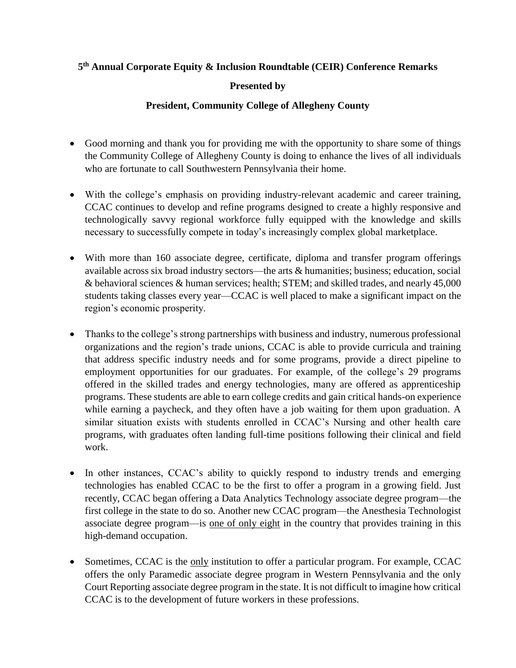## **5 th Annual Corporate Equity & Inclusion Roundtable (CEIR) Conference Remarks**

## **Presented by**

## **President, Community College of Allegheny County**

- Good morning and thank you for providing me with the opportunity to share some of things the Community College of Allegheny County is doing to enhance the lives of all individuals who are fortunate to call Southwestern Pennsylvania their home.
- With the college's emphasis on providing industry-relevant academic and career training, CCAC continues to develop and refine programs designed to create a highly responsive and technologically savvy regional workforce fully equipped with the knowledge and skills necessary to successfully compete in today's increasingly complex global marketplace.
- With more than 160 associate degree, certificate, diploma and transfer program offerings available across six broad industry sectors—the arts & humanities; business; education, social & behavioral sciences & human services; health; STEM; and skilled trades, and nearly 45,000 students taking classes every year—CCAC is well placed to make a significant impact on the region's economic prosperity.
- Thanks to the college's strong partnerships with business and industry, numerous professional organizations and the region's trade unions, CCAC is able to provide curricula and training that address specific industry needs and for some programs, provide a direct pipeline to employment opportunities for our graduates. For example, of the college's 29 programs offered in the skilled trades and energy technologies, many are offered as apprenticeship programs. These students are able to earn college credits and gain critical hands-on experience while earning a paycheck, and they often have a job waiting for them upon graduation. A similar situation exists with students enrolled in CCAC's Nursing and other health care programs, with graduates often landing full-time positions following their clinical and field work.
- In other instances, CCAC's ability to quickly respond to industry trends and emerging technologies has enabled CCAC to be the first to offer a program in a growing field. Just recently, CCAC began offering a Data Analytics Technology associate degree program—the first college in the state to do so. Another new CCAC program—the Anesthesia Technologist associate degree program—is one of only eight in the country that provides training in this high-demand occupation.
- Sometimes, CCAC is the only institution to offer a particular program. For example, CCAC offers the only Paramedic associate degree program in Western Pennsylvania and the only Court Reporting associate degree program in the state. It is not difficult to imagine how critical CCAC is to the development of future workers in these professions.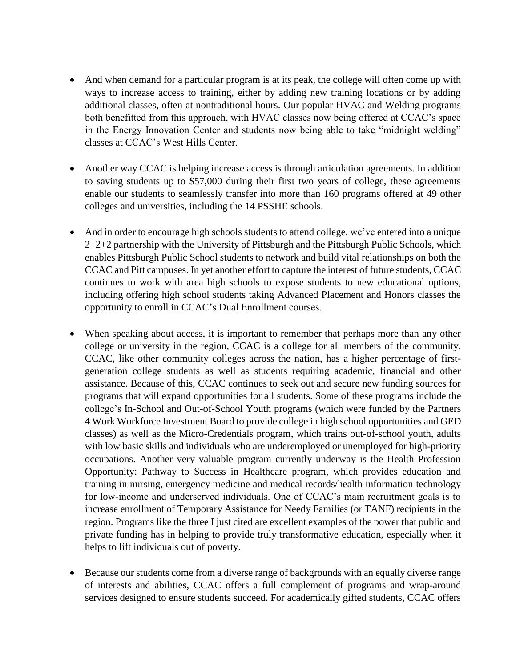- And when demand for a particular program is at its peak, the college will often come up with ways to increase access to training, either by adding new training locations or by adding additional classes, often at nontraditional hours. Our popular HVAC and Welding programs both benefitted from this approach, with HVAC classes now being offered at CCAC's space in the Energy Innovation Center and students now being able to take "midnight welding" classes at CCAC's West Hills Center.
- Another way CCAC is helping increase access is through articulation agreements. In addition to saving students up to \$57,000 during their first two years of college, these agreements enable our students to seamlessly transfer into more than 160 programs offered at 49 other colleges and universities, including the 14 PSSHE schools.
- And in order to encourage high schools students to attend college, we've entered into a unique 2+2+2 partnership with the University of Pittsburgh and the Pittsburgh Public Schools, which enables Pittsburgh Public School students to network and build vital relationships on both the CCAC and Pitt campuses. In yet another effort to capture the interest of future students, CCAC continues to work with area high schools to expose students to new educational options, including offering high school students taking Advanced Placement and Honors classes the opportunity to enroll in CCAC's Dual Enrollment courses.
- When speaking about access, it is important to remember that perhaps more than any other college or university in the region, CCAC is a college for all members of the community. CCAC, like other community colleges across the nation, has a higher percentage of firstgeneration college students as well as students requiring academic, financial and other assistance. Because of this, CCAC continues to seek out and secure new funding sources for programs that will expand opportunities for all students. Some of these programs include the college's In-School and Out-of-School Youth programs (which were funded by the Partners 4 Work Workforce Investment Board to provide college in high school opportunities and GED classes) as well as the Micro-Credentials program, which trains out-of-school youth, adults with low basic skills and individuals who are underemployed or unemployed for high-priority occupations. Another very valuable program currently underway is the Health Profession Opportunity: Pathway to Success in Healthcare program, which provides education and training in nursing, emergency medicine and medical records/health information technology for low-income and underserved individuals. One of CCAC's main recruitment goals is to increase enrollment of Temporary Assistance for Needy Families (or TANF) recipients in the region. Programs like the three I just cited are excellent examples of the power that public and private funding has in helping to provide truly transformative education, especially when it helps to lift individuals out of poverty.
- Because our students come from a diverse range of backgrounds with an equally diverse range of interests and abilities, CCAC offers a full complement of programs and wrap-around services designed to ensure students succeed. For academically gifted students, CCAC offers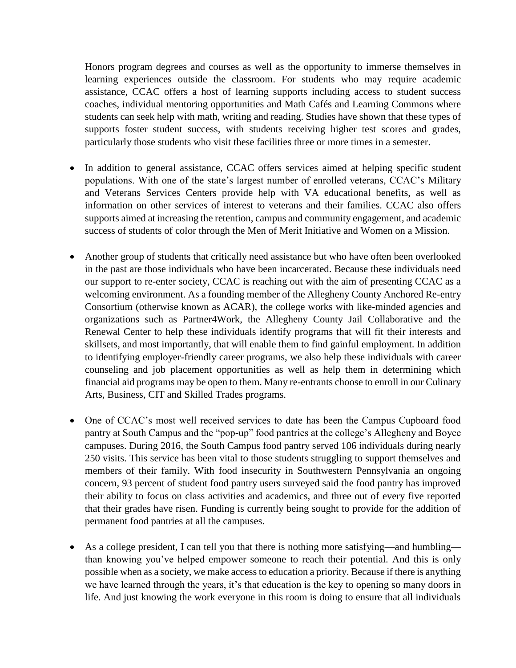Honors program degrees and courses as well as the opportunity to immerse themselves in learning experiences outside the classroom. For students who may require academic assistance, CCAC offers a host of learning supports including access to student success coaches, individual mentoring opportunities and Math Cafés and Learning Commons where students can seek help with math, writing and reading. Studies have shown that these types of supports foster student success, with students receiving higher test scores and grades, particularly those students who visit these facilities three or more times in a semester.

- In addition to general assistance, CCAC offers services aimed at helping specific student populations. With one of the state's largest number of enrolled veterans, CCAC's Military and Veterans Services Centers provide help with VA educational benefits, as well as information on other services of interest to veterans and their families. CCAC also offers supports aimed at increasing the retention, campus and community engagement, and academic success of students of color through the Men of Merit Initiative and Women on a Mission.
- Another group of students that critically need assistance but who have often been overlooked in the past are those individuals who have been incarcerated. Because these individuals need our support to re-enter society, CCAC is reaching out with the aim of presenting CCAC as a welcoming environment. As a founding member of the Allegheny County Anchored Re-entry Consortium (otherwise known as ACAR), the college works with like-minded agencies and organizations such as Partner4Work, the Allegheny County Jail Collaborative and the Renewal Center to help these individuals identify programs that will fit their interests and skillsets, and most importantly, that will enable them to find gainful employment. In addition to identifying employer-friendly career programs, we also help these individuals with career counseling and job placement opportunities as well as help them in determining which financial aid programs may be open to them. Many re-entrants choose to enroll in our Culinary Arts, Business, CIT and Skilled Trades programs.
- One of CCAC's most well received services to date has been the Campus Cupboard food pantry at South Campus and the "pop-up" food pantries at the college's Allegheny and Boyce campuses. During 2016, the South Campus food pantry served 106 individuals during nearly 250 visits. This service has been vital to those students struggling to support themselves and members of their family. With food insecurity in Southwestern Pennsylvania an ongoing concern, 93 percent of student food pantry users surveyed said the food pantry has improved their ability to focus on class activities and academics, and three out of every five reported that their grades have risen. Funding is currently being sought to provide for the addition of permanent food pantries at all the campuses.
- As a college president, I can tell you that there is nothing more satisfying—and humbling than knowing you've helped empower someone to reach their potential. And this is only possible when as a society, we make access to education a priority. Because if there is anything we have learned through the years, it's that education is the key to opening so many doors in life. And just knowing the work everyone in this room is doing to ensure that all individuals